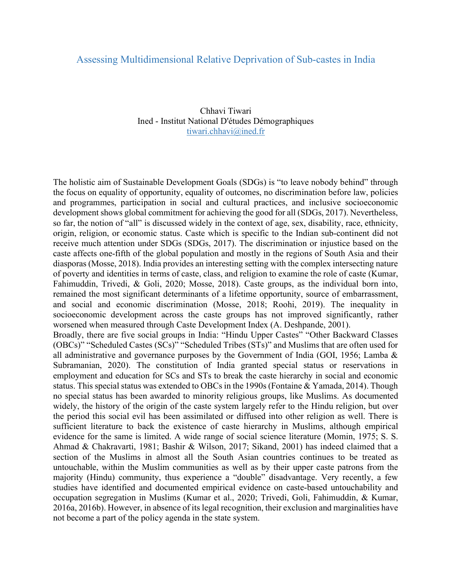## Assessing Multidimensional Relative Deprivation of Sub-castes in India

Chhavi Tiwari Ined - Institut National D'études Démographiques tiwari.chhavi@ined.fr

The holistic aim of Sustainable Development Goals (SDGs) is "to leave nobody behind" through the focus on equality of opportunity, equality of outcomes, no discrimination before law, policies and programmes, participation in social and cultural practices, and inclusive socioeconomic development shows global commitment for achieving the good for all (SDGs, 2017). Nevertheless, so far, the notion of "all" is discussed widely in the context of age, sex, disability, race, ethnicity, origin, religion, or economic status. Caste which is specific to the Indian sub-continent did not receive much attention under SDGs (SDGs, 2017). The discrimination or injustice based on the caste affects one-fifth of the global population and mostly in the regions of South Asia and their diasporas (Mosse, 2018). India provides an interesting setting with the complex intersecting nature of poverty and identities in terms of caste, class, and religion to examine the role of caste (Kumar, Fahimuddin, Trivedi, & Goli, 2020; Mosse, 2018). Caste groups, as the individual born into, remained the most significant determinants of a lifetime opportunity, source of embarrassment, and social and economic discrimination (Mosse, 2018; Roohi, 2019). The inequality in socioeconomic development across the caste groups has not improved significantly, rather worsened when measured through Caste Development Index (A. Deshpande, 2001). Broadly, there are five social groups in India: "Hindu Upper Castes" "Other Backward Classes (OBCs)" "Scheduled Castes (SCs)" "Scheduled Tribes (STs)" and Muslims that are often used for all administrative and governance purposes by the Government of India (GOI, 1956; Lamba & Subramanian, 2020). The constitution of India granted special status or reservations in employment and education for SCs and STs to break the caste hierarchy in social and economic status. This special status was extended to OBCs in the 1990s (Fontaine & Yamada, 2014). Though no special status has been awarded to minority religious groups, like Muslims. As documented widely, the history of the origin of the caste system largely refer to the Hindu religion, but over the period this social evil has been assimilated or diffused into other religion as well. There is sufficient literature to back the existence of caste hierarchy in Muslims, although empirical evidence for the same is limited. A wide range of social science literature (Momin, 1975; S. S. Ahmad & Chakravarti, 1981; Bashir & Wilson, 2017; Sikand, 2001) has indeed claimed that a section of the Muslims in almost all the South Asian countries continues to be treated as untouchable, within the Muslim communities as well as by their upper caste patrons from the majority (Hindu) community, thus experience a "double" disadvantage. Very recently, a few studies have identified and documented empirical evidence on caste-based untouchability and occupation segregation in Muslims (Kumar et al., 2020; Trivedi, Goli, Fahimuddin, & Kumar, 2016a, 2016b). However, in absence of its legal recognition, their exclusion and marginalities have not become a part of the policy agenda in the state system.